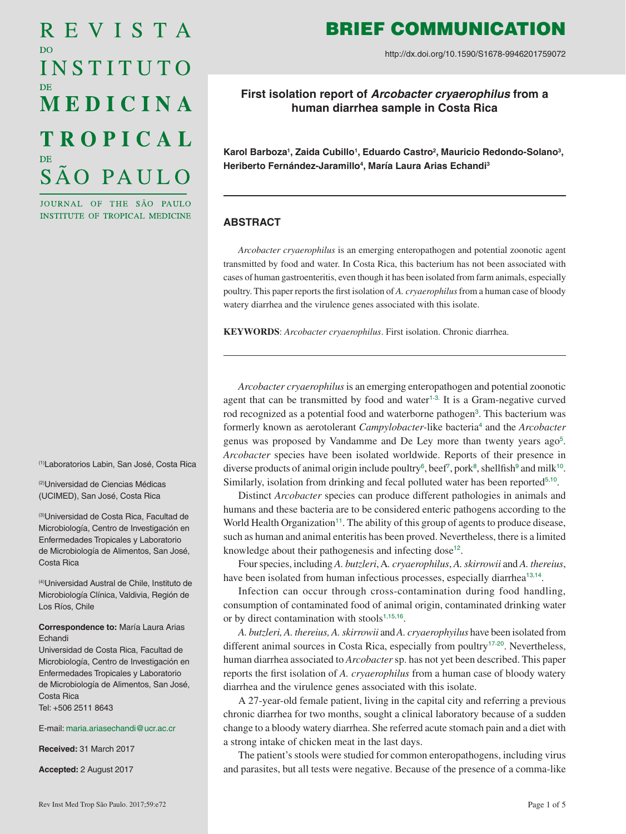# REVISTA D<sub>O</sub> INSTITUTO MEDICINA **TROPICAL** SÃO PAULO

JOURNAL OF THE SÃO PAULO INSTITUTE OF TROPICAL MEDICINE

(1)Laboratorios Labin, San José, Costa Rica

(2)Universidad de Ciencias Médicas (UCIMED), San José, Costa Rica

(3)Universidad de Costa Rica, Facultad de Microbiología, Centro de Investigación en Enfermedades Tropicales y Laboratorio de Microbiología de Alimentos, San José, Costa Rica

(4)Universidad Austral de Chile, Instituto de Microbiología Clínica, Valdivia, Región de Los Ríos, Chile

### **Correspondence to:** María Laura Arias Echandi

Universidad de Costa Rica, Facultad de Microbiología, Centro de Investigación en Enfermedades Tropicales y Laboratorio de Microbiología de Alimentos, San José, Costa Rica Tel: +506 2511 8643

#### E-mail: [maria.ariasechandi@ucr.ac.cr](mailto:maria.ariasechandi%40ucr.ac.cr?subject=)

**Received:** 31 March 2017

**Accepted:** 2 August 2017

# BRIEF COMMUNICATION

http://dx.doi.org/10.1590/S1678-9946201759072

## **First isolation report of** *Arcobacter cryaerophilus* **from a human diarrhea sample in Costa Rica**

Karol Barboza<sup>1</sup>, Zaida Cubillo<sup>1</sup>, Eduardo Castro<sup>2</sup>, Mauricio Redondo-Solano<sup>3</sup>, Heriberto Fernández-Jaramillo<sup>4</sup>, María Laura Arias Echandi<sup>3</sup>

### **ABSTRACT**

*Arcobacter cryaerophilus* is an emerging enteropathogen and potential zoonotic agent transmitted by food and water. In Costa Rica, this bacterium has not been associated with cases of human gastroenteritis, even though it has been isolated from farm animals, especially poultry. This paper reports the first isolation of *A. cryaerophilus* from a human case of bloody watery diarrhea and the virulence genes associated with this isolate.

**KEYWORDS**: *Arcobacter cryaerophilus*. First isolation. Chronic diarrhea.

<span id="page-0-3"></span><span id="page-0-2"></span><span id="page-0-1"></span><span id="page-0-0"></span>*Arcobacter cryaerophilus* is an emerging enteropathogen and potential zoonotic agent that can be transmitted by food and water<sup>[1](#page-2-0)-[3](#page-3-0).</sup> It is a Gram-negative curved rod recognized as a potential food and waterborne pathogen<sup>[3](#page-3-0)</sup>. This bacterium was formerly known as aerotolerant *Campylobacter*-like bacteria<sup>[4](#page-3-0)</sup> and the *Arcobacter* genus was proposed by Vandamme and De Ley more than twenty years ago[5](#page-3-0). *Arcobacter* species have been isolated worldwide. Reports of their presence in diverse products of animal origin include poultry<sup>[6](#page-3-0)</sup>, beef<sup>[7](#page-3-0)</sup>, pork<sup>[8](#page-3-0)</sup>, shellfish<sup>[9](#page-3-0)</sup> and milk<sup>[10](#page-3-0)</sup>. Similarly, isolation from drinking and fecal polluted water has been reported $5,10$  $5,10$  $5,10$ .

<span id="page-0-9"></span><span id="page-0-8"></span><span id="page-0-7"></span><span id="page-0-6"></span><span id="page-0-5"></span><span id="page-0-4"></span>Distinct *Arcobacter* species can produce different pathologies in animals and humans and these bacteria are to be considered enteric pathogens according to the World Health Organization<sup>[11](#page-3-0)</sup>. The ability of this group of agents to produce disease, such as human and animal enteritis has been proved. Nevertheless, there is a limited knowledge about their pathogenesis and infecting dose<sup>12</sup>.

<span id="page-0-11"></span><span id="page-0-10"></span>Four species, including *A. butzleri*, A*. cryaerophilus*, *A. skirrowii* and *A. thereius*, have been isolated from human infectious processes, especially diarrhea<sup>[13](#page-3-0),[14](#page-3-0)</sup>.

<span id="page-0-12"></span>Infection can occur through cross-contamination during food handling, consumption of contaminated food of animal origin, contaminated drinking water or by direct contamination with stools $1,15,16$  $1,15,16$  $1,15,16$  $1,15,16$  $1,15,16$ .

<span id="page-0-16"></span><span id="page-0-15"></span><span id="page-0-14"></span><span id="page-0-13"></span>*A. butzleri, A. thereius, A. skirrowii* and *A. cryaerophyilus* have been isolated from different animal sources in Costa Rica, especially from poultry<sup>[17](#page-3-0)-[20](#page-3-0)</sup>. Nevertheless, human diarrhea associated to *Arcobacter* sp. has not yet been described. This paper reports the first isolation of *A. cryaerophilus* from a human case of bloody watery diarrhea and the virulence genes associated with this isolate.

A 27-year-old female patient, living in the capital city and referring a previous chronic diarrhea for two months, sought a clinical laboratory because of a sudden change to a bloody watery diarrhea. She referred acute stomach pain and a diet with a strong intake of chicken meat in the last days.

The patient's stools were studied for common enteropathogens, including virus and parasites, but all tests were negative. Because of the presence of a comma-like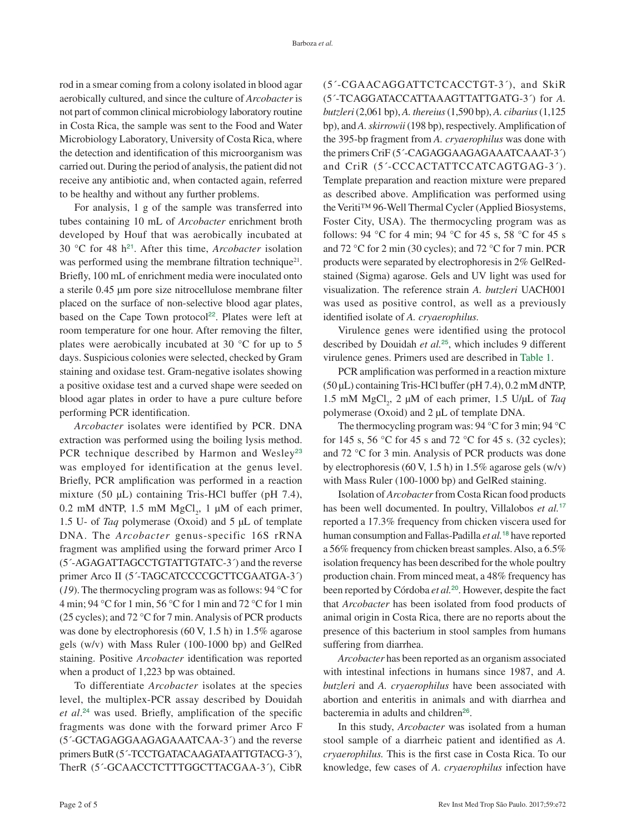rod in a smear coming from a colony isolated in blood agar aerobically cultured, and since the culture of *Arcobacter* is not part of common clinical microbiology laboratory routine in Costa Rica, the sample was sent to the Food and Water Microbiology Laboratory, University of Costa Rica, where the detection and identification of this microorganism was carried out. During the period of analysis, the patient did not receive any antibiotic and, when contacted again, referred to be healthy and without any further problems.

<span id="page-1-2"></span><span id="page-1-1"></span>For analysis, 1 g of the sample was transferred into tubes containing 10 mL of *Arcobacter* enrichment broth developed by Houf that was aerobically incubated at 30 °C for 48 h[21](#page-3-0). After this time, *Arcobacter* isolation was performed using the membrane filtration technique<sup>21</sup>. Briefly, 100 mL of enrichment media were inoculated onto a sterile 0.45 µm pore size nitrocellulose membrane filter placed on the surface of non-selective blood agar plates, based on the Cape Town protocol<sup>[22](#page-3-0)</sup>. Plates were left at room temperature for one hour. After removing the filter, plates were aerobically incubated at 30 °C for up to 5 days. Suspicious colonies were selected, checked by Gram staining and oxidase test. Gram-negative isolates showing a positive oxidase test and a curved shape were seeded on blood agar plates in order to have a pure culture before performing PCR identification.

<span id="page-1-3"></span>*Arcobacter* isolates were identified by PCR. DNA extraction was performed using the boiling lysis method. PCR technique described by Harmon and Wesley<sup>23</sup> was employed for identification at the genus level. Briefly, PCR amplification was performed in a reaction mixture (50 µL) containing Tris-HCl buffer (pH 7.4),  $0.2 \text{ mM dNTP}, 1.5 \text{ mM MgCl}_2, 1 \mu\text{M of each primer},$ 1.5 U- of *Taq* polymerase (Oxoid) and 5 µL of template DNA. The *Arcobacter* genus-specific 16S rRNA fragment was amplified using the forward primer Arco I (5´-AGAGATTAGCCTGTATTGTATC-3´) and the reverse primer Arco II (5´-TAGCATCCCCGCTTCGAATGA-3´) (*19*). The thermocycling program was as follows: 94 °C for 4 min; 94 °C for 1 min, 56 °C for 1 min and 72 °C for 1 min (25 cycles); and 72 °C for 7 min. Analysis of PCR products was done by electrophoresis (60 V, 1.5 h) in 1.5% agarose gels (w/v) with Mass Ruler (100-1000 bp) and GelRed staining. Positive *Arcobacter* identification was reported when a product of 1,223 bp was obtained.

<span id="page-1-4"></span>To differentiate *Arcobacter* isolates at the species level, the multiplex-PCR assay described by Douidah *et al*. [24](#page-3-0) was used. Briefly, amplification of the specific fragments was done with the forward primer Arco F (5´-GCTAGAGGAAGAGAAATCAA-3´) and the reverse primers ButR (5´-TCCTGATACAAGATAATTGTACG-3´), TherR (5´-GCAACCTCTTTGGCTTACGAA-3´), CibR

(5´-CGAACAGGATTCTCACCTGT-3´), and SkiR (5´-TCAGGATACCATTAAAGTTATTGATG-3´) for *A. butzleri* (2,061 bp), *A. thereius* (1,590 bp), *A. cibarius* (1,125 bp), and *A. skirrowii* (198 bp), respectively. Amplification of the 395-bp fragment from *A. cryaerophilus* was done with the primers CriF (5´-CAGAGGAAGAGAAATCAAAT-3´) and CriR (5´-CCCACTATTCCATCAGTGAG-3´). Template preparation and reaction mixture were prepared as described above. Amplification was performed using the Veriti™ 96-Well Thermal Cycler (Applied Biosystems, Foster City, USA). The thermocycling program was as follows: 94 °C for 4 min; 94 °C for 45 s, 58 °C for 45 s and 72 °C for 2 min (30 cycles); and 72 °C for 7 min. PCR products were separated by electrophoresis in 2% GelRedstained (Sigma) agarose. Gels and UV light was used for visualization. The reference strain *A. butzleri* UACH001 was used as positive control, as well as a previously identified isolate of *A. cryaerophilus.*

<span id="page-1-5"></span>Virulence genes were identified using the protocol described by Douidah *et al.*[25](#page-3-0), which includes 9 different virulence genes. Primers used are described in [Table 1.](#page-2-0)

<span id="page-1-0"></span>PCR amplification was performed in a reaction mixture (50 µL) containing Tris-HCl buffer (pH 7.4), 0.2 mM dNTP, 1.5 mM  $MgCl<sub>2</sub>$ , 2 µM of each primer, 1.5 U/µL of *Taq* polymerase (Oxoid) and 2 µL of template DNA.

The thermocycling program was: 94 °C for 3 min; 94 °C for 145 s, 56 °C for 45 s and 72 °C for 45 s. (32 cycles); and 72 °C for 3 min. Analysis of PCR products was done by electrophoresis (60 V, 1.5 h) in 1.5% agarose gels (w/v) with Mass Ruler (100-1000 bp) and GelRed staining.

Isolation of *Arcobacter* from Costa Rican food products has been well documented. In poultry, Villalobos *et al.*[17](#page-3-0) reported a 17.3% frequency from chicken viscera used for human consumption and Fallas-Padilla *et al.*[18](#page-3-0) have reported a 56% frequency from chicken breast samples. Also, a 6.5% isolation frequency has been described for the whole poultry production chain. From minced meat, a 48% frequency has been reported by Córdoba *et al.*[20](#page-3-0). However, despite the fact that *Arcobacter* has been isolated from food products of animal origin in Costa Rica, there are no reports about the presence of this bacterium in stool samples from humans suffering from diarrhea.

*Arcobacter* has been reported as an organism associated with intestinal infections in humans since 1987, and *A. butzleri* and *A. cryaerophilus* have been associated with abortion and enteritis in animals and with diarrhea and bacteremia in adults and children<sup>[26](#page-3-0)</sup>.

<span id="page-1-6"></span>In this study, *Arcobacter* was isolated from a human stool sample of a diarrheic patient and identified as *A. cryaerophilus.* This is the first case in Costa Rica. To our knowledge, few cases of *A. cryaerophilus* infection have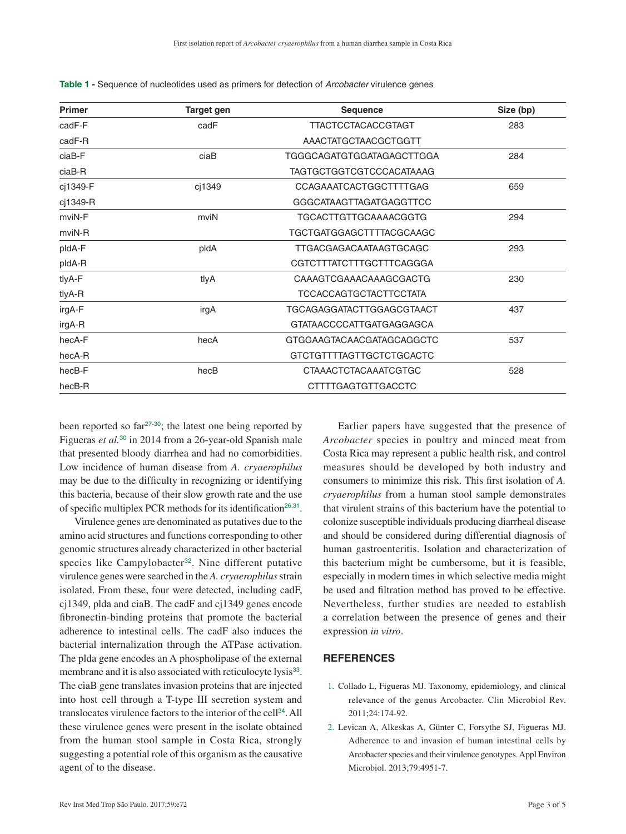| <b>Primer</b> | Target gen | <b>Sequence</b>                  | Size (bp) |
|---------------|------------|----------------------------------|-----------|
| cadF-F        | cadF       | <b>TTACTCCTACACCGTAGT</b>        | 283       |
| cadF-R        |            | AAACTATGCTAACGCTGGTT             |           |
| ciaB-F        | ciaB       | <b>TGGGCAGATGTGGATAGAGCTTGGA</b> | 284       |
| ciaB-R        |            | TAGTGCTGGTCGTCCCACATAAAG         |           |
| cj1349-F      | cj1349     | CCAGAAATCACTGGCTTTTGAG           | 659       |
| cj1349-R      |            | <b>GGGCATAAGTTAGATGAGGTTCC</b>   |           |
| mviN-F        | mviN       | TGCACTTGTTGCAAAACGGTG            | 294       |
| mviN-R        |            | TGCTGATGGAGCTTTTACGCAAGC         |           |
| pldA-F        | pldA       | TTGACGAGACAATAAGTGCAGC           | 293       |
| pldA-R        |            | CGTCTTTATCTTTGCTTTCAGGGA         |           |
| tlyA-F        | tlyA       | CAAAGTCGAAACAAAGCGACTG           | 230       |
| tlyA-R        |            | <b>TCCACCAGTGCTACTTCCTATA</b>    |           |
| irgA-F        | irgA       | TGCAGAGGATACTTGGAGCGTAACT        | 437       |
| irgA-R        |            | GTATAACCCCATTGATGAGGAGCA         |           |
| hecA-F        | hecA       | GTGGAAGTACAACGATAGCAGGCTC        | 537       |
| hecA-R        |            | GTCTGTTTTAGTTGCTCTGCACTC         |           |
| hecB-F        | hecB       | <b>CTAAACTCTACAAATCGTGC</b>      | 528       |
| hecB-R        |            | <b>CTTTTGAGTGTTGACCTC</b>        |           |

<span id="page-2-0"></span>**Table 1 -** [Sequence of nucleotides used as primers for detection of](#page-1-0) *Arcobacter* virulence genes

<span id="page-2-1"></span>been reported so far<sup>[27](#page-3-0)-[30](#page-3-0)</sup>; the latest one being reported by Figueras *et al.*[30](#page-3-0) in 2014 from a 26-year-old Spanish male that presented bloody diarrhea and had no comorbidities. Low incidence of human disease from *A. cryaerophilus* may be due to the difficulty in recognizing or identifying this bacteria, because of their slow growth rate and the use of specific multiplex PCR methods for its identification<sup>[26](#page-3-0),[31](#page-3-0)</sup>.

<span id="page-2-6"></span><span id="page-2-5"></span><span id="page-2-4"></span>Virulence genes are denominated as putatives due to the amino acid structures and functions corresponding to other genomic structures already characterized in other bacterial species like Campylobacter<sup>[32](#page-3-0)</sup>. Nine different putative virulence genes were searched in the *A. cryaerophilus* strain isolated. From these, four were detected, including cadF, cj1349, plda and ciaB. The cadF and cj1349 genes encode fibronectin-binding proteins that promote the bacterial adherence to intestinal cells. The cadF also induces the bacterial internalization through the ATPase activation. The plda gene encodes an A phospholipase of the external membrane and it is also associated with reticulocyte lysis<sup>[33](#page-4-0)</sup>. The ciaB gene translates invasion proteins that are injected into host cell through a T-type III secretion system and translocates virulence factors to the interior of the cell[34](#page-4-0). All these virulence genes were present in the isolate obtained from the human stool sample in Costa Rica, strongly suggesting a potential role of this organism as the causative agent of to the disease.

<span id="page-2-3"></span><span id="page-2-2"></span>Earlier papers have suggested that the presence of *Arcobacter* species in poultry and minced meat from Costa Rica may represent a public health risk, and control measures should be developed by both industry and consumers to minimize this risk. This first isolation of *A. cryaerophilus* from a human stool sample demonstrates that virulent strains of this bacterium have the potential to colonize susceptible individuals producing diarrheal disease and should be considered during differential diagnosis of human gastroenteritis. Isolation and characterization of this bacterium might be cumbersome, but it is feasible, especially in modern times in which selective media might be used and filtration method has proved to be effective. Nevertheless, further studies are needed to establish a correlation between the presence of genes and their expression *in vitro*.

### **REFERENCES**

- 1. [Collado L, Figueras MJ. Taxonomy, epidemiology, and clinical](#page-0-0)  [relevance of the genus Arcobacter. Clin Microbiol Rev.](#page-0-0)  [2011;24:174-92.](#page-0-0)
- 2. [Levican A, Alkeskas A, Günter C, Forsythe SJ, Figueras MJ.](#page-0-1)  [Adherence to and invasion of human intestinal cells by](#page-0-1)  [Arcobacter species and their virulence genotypes. Appl Environ](#page-0-1)  [Microbiol. 2013;79:4951-7.](#page-0-1)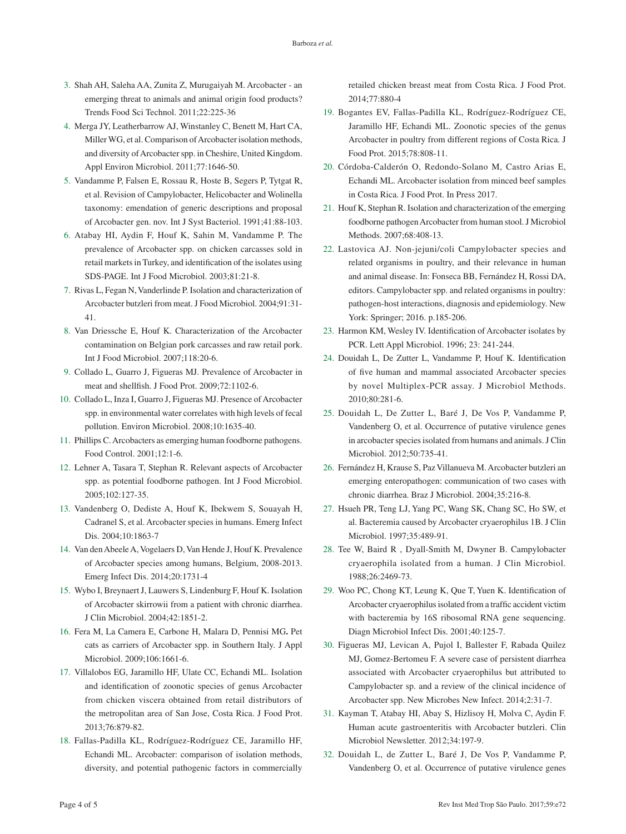- <span id="page-3-0"></span>3. [Shah AH, Saleha AA, Zunita Z, Murugaiyah M. Arcobacter - an](#page-0-1)  [emerging threat to animals and animal origin food products?](#page-0-1)  [Trends Food Sci Technol. 2011;22:225-36](#page-0-1)
- 4. [Merga JY, Leatherbarrow AJ, Winstanley C, Benett M, Hart CA,](#page-0-2)  [Miller WG, et al. Comparison of Arcobacter isolation methods,](#page-0-2)  [and diversity of Arcobacter spp. in Cheshire, United Kingdom.](#page-0-2)  [Appl Environ Microbiol. 2011;77:1646-50.](#page-0-2)
- 5. [Vandamme P, Falsen E, Rossau R, Hoste B, Segers P, Tytgat R,](#page-0-3)  [et al. Revision of Campylobacter, Helicobacter and Wolinella](#page-0-3)  [taxonomy: emendation of generic descriptions and proposal](#page-0-3)  [of Arcobacter gen. nov. Int J Syst Bacteriol. 1991;41:88-103.](#page-0-3)
- 6. [Atabay HI, Aydin F, Houf K, Sahin M, Vandamme P. The](#page-0-4)  [prevalence of Arcobacter spp. on chicken carcasses sold in](#page-0-4)  [retail markets in Turkey, and identification of the isolates using](#page-0-4)  [SDS-PAGE. Int J Food Microbiol. 2003;81:21-8.](#page-0-4)
- 7. [Rivas L, Fegan N, Vanderlinde P. Isolation and characterization of](#page-0-5)  [Arcobacter butzleri from meat. J Food Microbiol. 2004;91:31-](#page-0-5) [41.](#page-0-5)
- 8. [Van Driessche E, Houf K. Characterization of the Arcobacter](#page-0-6)  [contamination on Belgian pork carcasses and raw retail pork.](#page-0-6)  [Int J Food Microbiol. 2007;118:20-6.](#page-0-6)
- 9. [Collado L, Guarro J, Figueras MJ. Prevalence of Arcobacter in](#page-0-7)  [meat and shellfish. J Food Prot. 2009;72:1102-6.](#page-0-7)
- 10. [Collado L, Inza I, Guarro J, Figueras MJ. Presence of Arcobacter](#page-0-8)  [spp. in environmental water correlates with high levels of fecal](#page-0-8)  [pollution. Environ Microbiol. 2008;10:1635-40.](#page-0-8)
- 11. [Phillips C. Arcobacters as emerging human foodborne pathogens.](#page-0-9)  [Food Control. 2001;12:1-6.](#page-0-9)
- 12. [Lehner A, Tasara T, Stephan R. Relevant aspects of Arcobacter](#page-0-10)  [spp. as potential foodborne pathogen. Int J Food Microbiol.](#page-0-10)  [2005;102:127-35.](#page-0-10)
- 13. [Vandenberg O, Dediste A, Houf K, Ibekwem S, Souayah H,](#page-0-11)  [Cadranel S, et al. Arcobacter species in humans. Emerg Infect](#page-0-11)  [Dis. 2004;10:1863-7](#page-0-11)
- 14. [Van den Abeele A, Vogelaers D, Van Hende J, Houf K. Prevalence](#page-0-12)  [of Arcobacter species among humans, Belgium, 2008-2013.](#page-0-12)  [Emerg Infect Dis. 2014;20:1731-4](#page-0-12)
- 15. [Wybo I, Breynaert J, Lauwers S, Lindenburg F, Houf K. Isolation](#page-0-13)  [of Arcobacter skirrowii from a patient with chronic diarrhea.](#page-0-13)  [J Clin Microbiol. 2004;42:1851-2.](#page-0-13)
- 16. [Fera M, La Camera E, Carbone H, Malara D, Pennisi MG](#page-0-14)**.** Pet [cats as carriers of Arcobacter spp. in Southern Italy. J Appl](#page-0-14)  [Microbiol. 2009;106:1661-6.](#page-0-14)
- 17. [Villalobos EG, Jaramillo HF, Ulate CC, Echandi ML. Isolation](#page-0-15)  [and identification of zoonotic species of genus Arcobacter](#page-0-15)  [from chicken viscera obtained from retail distributors of](#page-0-15)  [the metropolitan area of San Jose, Costa Rica. J Food Prot.](#page-0-15)  [2013;76:879-82.](#page-0-15)
- 18. [Fallas-Padilla KL, Rodríguez-Rodríguez CE, Jaramillo HF,](#page-0-16)  [Echandi ML. Arcobacter: comparison of isolation methods,](#page-0-16)  [diversity, and potential pathogenic factors in commercially](#page-0-16)

[retailed chicken breast meat from Costa Rica. J Food Prot.](#page-0-16)  [2014;77:880-4](#page-0-16)

- 19. [Bogantes EV, Fallas-Padilla KL, Rodríguez-Rodríguez CE,](#page-0-16)  [Jaramillo HF, Echandi ML. Zoonotic species of the genus](#page-0-16)  [Arcobacter in poultry from different regions of Costa Rica. J](#page-0-16)  [Food Prot. 2015;78:808-11.](#page-0-16)
- 20. [Córdoba-Calderón O, Redondo-Solano M, Castro Arias E,](#page-0-16)  [Echandi ML. Arcobacter isolation from minced beef samples](#page-0-16)  [in Costa Rica. J Food Prot. In Press 2017](#page-0-16).
- 21. [Houf K, Stephan R. Isolation and characterization of the emerging](#page-1-1)  [foodborne pathogen Arcobacter from human stool. J Microbiol](#page-1-1)  [Methods. 2007;68:408-13.](#page-1-1)
- 22. [Lastovica AJ. Non-jejuni/coli Campylobacter species and](#page-1-2)  [related organisms in poultry, and their relevance in human](#page-1-2)  [and animal disease. In: Fonseca BB, Fernández H, Rossi DA,](#page-1-2)  [editors. Campylobacter spp. and related organisms in poultry:](#page-1-2)  [pathogen-host interactions, diagnosis and epidemiology. New](#page-1-2)  [York: Springer; 2016. p.185-206.](#page-1-2)
- 23. [Harmon KM, Wesley IV. Identification of Arcobacter isolates by](#page-1-3)  [PCR. Lett Appl Microbiol. 1996; 23: 241-244.](#page-1-3)
- 24. [Douidah L, De Zutter L, Vandamme P, Houf K. Identification](#page-1-4)  [of five human and mammal associated Arcobacter species](#page-1-4)  [by novel Multiplex-PCR assay. J Microbiol Methods.](#page-1-4)  [2010;80:281-6.](#page-1-4)
- 25. [Douidah L, De Zutter L, Baré J, De Vos P, Vandamme P,](#page-1-5)  [Vandenberg O, et al. Occurrence of putative virulence genes](#page-1-5)  [in arcobacter species isolated from humans and animals. J Clin](#page-1-5)  [Microbiol. 2012;50:735-41.](#page-1-5)
- 26. [Fernández H, Krause S, Paz Villanueva M. Arcobacter butzleri an](#page-1-6)  [emerging enteropathogen: communication of two cases with](#page-1-6)  [chronic diarrhea. Braz J Microbiol. 2004;35:216-8.](#page-1-6)
- 27. [Hsueh PR, Teng LJ, Yang PC, Wang SK, Chang SC, Ho SW, et](#page-2-1)  [al. Bacteremia caused by Arcobacter cryaerophilus 1B. J Clin](#page-2-1)  [Microbiol. 1997;35:489-91.](#page-2-1)
- 28. [Tee W, Baird R , Dyall-Smith M, Dwyner B. Campylobacter](#page-2-2)  [cryaerophila isolated from a human. J Clin Microbiol.](#page-2-2)  [1988;26:2469-73.](#page-2-2)
- 29. [Woo PC, Chong KT, Leung K, Que T, Yuen K. Identification of](#page-2-2)  [Arcobacter cryaerophilus isolated from a traffic accident victim](#page-2-2)  [with bacteremia by 16S ribosomal RNA gene sequencing.](#page-2-2)  [Diagn Microbiol Infect Dis. 2001;40:125-7.](#page-2-2)
- 30. [Figueras MJ, Levican A, Pujol I, Ballester F, Rabada Quilez](#page-2-2)  [MJ, Gomez-Bertomeu F. A severe case of persistent diarrhea](#page-2-2)  [associated with Arcobacter cryaerophilus but attributed to](#page-2-2)  [Campylobacter sp. and a review of the clinical incidence of](#page-2-2)  [Arcobacter spp. New Microbes New Infect. 2014;2:31-7.](#page-2-2)
- 31. [Kayman T, Atabay HI, Abay S, Hizlisoy H, Molva C, Aydin F.](#page-2-3)  [Human acute gastroenteritis with Arcobacter butzleri. Clin](#page-2-3)  [Microbiol Newsletter. 2012;34:197-9.](#page-2-3)
- 32. [Douidah L, de Zutter L, Baré J, De Vos P, Vandamme P,](#page-2-4)  [Vandenberg O, et al. Occurrence of putative virulence genes](#page-2-4)